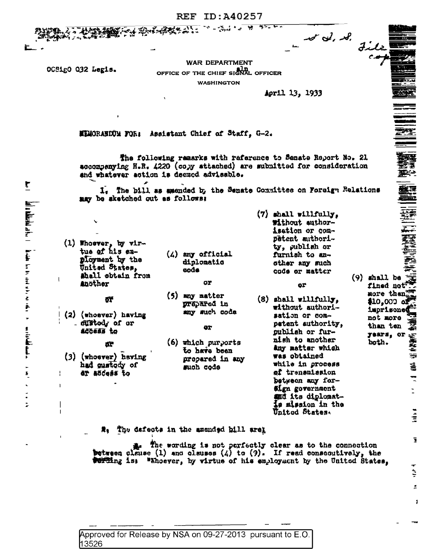**REF ID:A40257** 

And the Constitution of the Constitution of the Manuscript of the Manuscript of the Manuscript of the Manuscript of the Manuscript of the Manuscript of the Manuscript of the Manuscript of the Manuscript of the Manuscript o

**WAR DEPARTMENT** OFFICE OF THE CHIEF SIGNAL OFFICER **WASHINGTON** 

April 13, 1933

 $r \propto l$ ,  $\mathcal{A}$ 

File

三<br>歴史<br>第1

薹

書卷 当天都建造

t.

 $\frac{1}{2}$ 

ī

È

 $\tilde{\pi}$ 

1

 $(9)$  shall be

fined not more then

\$10,000 of

imprisoned

not more

than ten

years, or

both.

MIMORANDUM FOR: Assistant Chief of Staff, G-2.

The following remarks with reference to Senate Report No. 21 accompanying H.R. 4220 (copy attached) are submitted for consideration and whatever action is deemed advisable.

1. The bill as amended by the Senate Committee on Foreign Relations may be sketched out as follows:

 $(1)$  Whoever, by virtue of his ex**ployment** by the United States, Ahall obtain from **Another** 

σ۴

OCSigO 032 Legis.

- 
- $(2)$  (whosver) having - custody of or

ACCESS to

- Æ
- (3) (whoever) having had gustody of et access to

 $(4)$  any official diplomatic sode

**OT** 

 $(5)$  any natter prepared in any such code

QT

 $(6)$  which purports to have been prepared in any such code

 $(7)$  shall willfully. #ithout authorisation or competent authority, publish or furnish to another any such code or matter

or

 $(8)$  shall willfully. without authorisation or competent suthority, publish or furnish to another Any matter which was obtained while in process of trensmission between any for-**Sign government** and its diplomatis mission in the United States.

#. The defects in the amended bill arel

The wording is not perfectly clear as to the connection ま. between clause (1) and clauses (4) to (9). If read consequtively, the **Perting is:** "Thoever, by virtue of his employment by the United States,

Approved for Release by NSA on 09-27-2013 pursuant to E.O. 13526

 $\overline{\mathbf{r}}$ **In the figure is the first of the contract of the contract of the contract of the contract of the contract of the contract of the contract of the contract of the contract of the contract of the contract of the contract of**  $\begin{aligned} \mathbf{r} & \mathbf{r} = \mathbf{r} \mathbf{r} \mathbf{r} \mathbf{r} \mathbf{r} \mathbf{r} \mathbf{r} \mathbf{r} \mathbf{r} \mathbf{r} \mathbf{r} \mathbf{r} \mathbf{r} \mathbf{r} \mathbf{r} \mathbf{r} \mathbf{r} \mathbf{r} \mathbf{r} \mathbf{r} \mathbf{r} \mathbf{r} \mathbf{r} \mathbf{r} \mathbf{r} \mathbf{r} \mathbf{r} \mathbf{r} \mathbf{r} \mathbf{r} \mathbf{r} \mathbf{r} \mathbf{r} \mathbf$  $\sum_{i=1}^{n}$ Ė

 $\mathbf{I}$ 

Ţ

 $\mathbf{I}$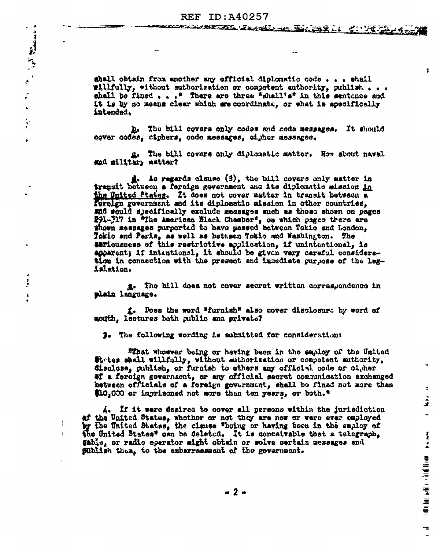$\sim$   $^{-4}$ 

 $\mathbf{z}$ 

 $\ddot{\cdot}$ 

 $\hat{\mathbf{x}}$ 

 $\ddot{\cdot}$ 

 $\mathbf{x}$ 

 $\frac{1}{2}$ 

 $\mathbf{I}$ 

 $\mathbf{I}$ 

ahall obtain from another any official diplomatic code . . . shall willfully, without suthorization or competent authority, publish... shall be fined  $\bullet$   $\bullet$  <sup>s</sup> There are three "shall's" in this sentonce and it is by no means clear which are coordinate, or what is apecifically intended.

 $\mathbf{I}$ 

 $\mathbb{Z}$ 

 $\frac{1}{2}$ 

 $\tilde{\mathbf{v}}$ 

| list | bat | had | had | had | had | had | had | had | had | had | had | had | had | had | had | h

π.  $\overline{a}$ 

b. The bill covers only codes and code messages. It should gover codes, ciphers, code messages, cipher messages.

g. The bill covers only diplomatic matter. How about naval and military matter?

d. As regards clause (3), the bill covers only matter in transit between a foreign government and its diplomatic mission <u>in</u> the United States. It does not cover matter in trenait between a foreign government and its diplomatic mission in other countries. and would specifically exclude messages such as those shown on pages 291-317 in "The American Black Chamber", on which pages there are shown messages purported to have passed between Tokio and London. Tokio and Paris, as well as between Tokio and Washington. The estiousness of this restrictive application, if unintentional, is apparent; if intentional, it should be given very careful consideration in connection with the present and immediate purpose of the legislation.

g. The bill does not cover secret written correspondence in plain language.

f. Does the word "furnish" also cover disclosure by word of mouth, lectures both public and private?

3. The following wording is submitted for considerations

"That whoever being or having been in the employ of the United firtes shall willfully, without authorization or compotent authority, disclose, publish, or furnish to others any official code or cigher ef a foreign government, or any official secret communication exchanged between officials of a foreign government, shall be fined not more than \$10,000 or imprisoned not more than ten years, or both,"

A. If it were destred to cover all persons within the jurisdiction of the United States, whether or not they are now or were ever employed by the United States, the clause "boing or having been in the employ of the United States" can be deleted. It is conceivable that a telegraph. eable, or radio eperator might obtain or solve certain messages and publish then, to the embarrassment of the government.